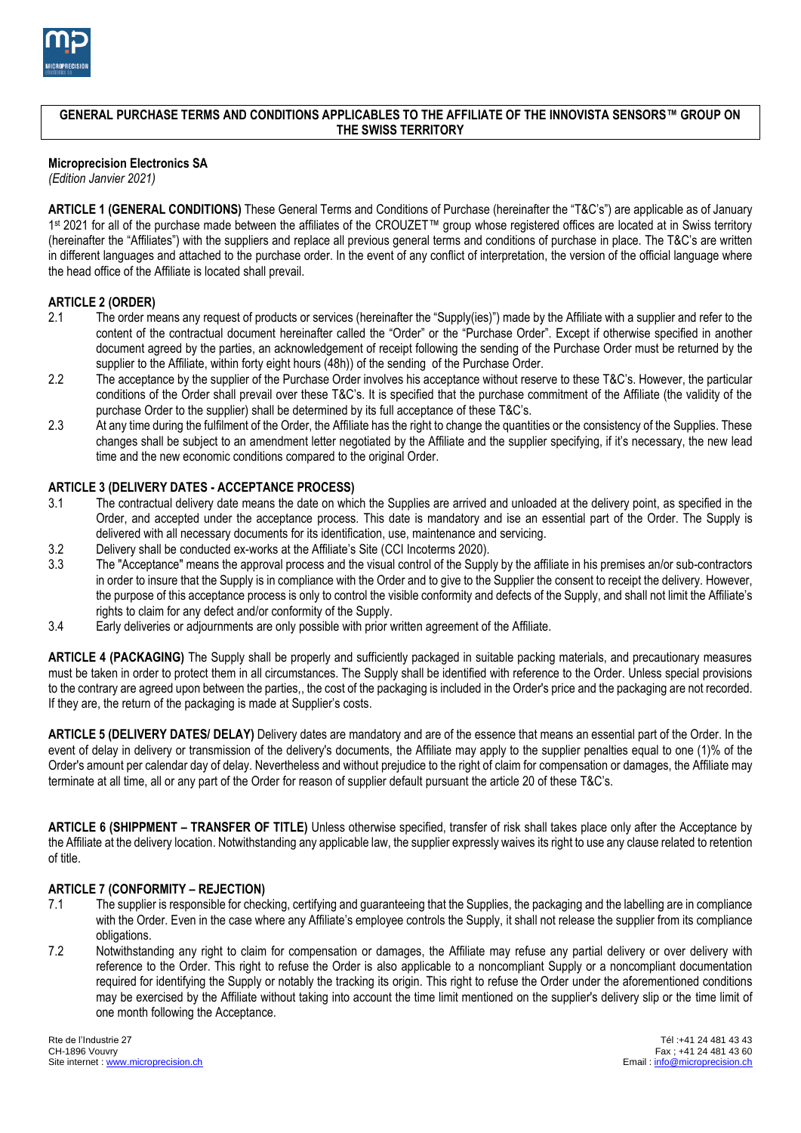

### **GENERAL PURCHASE TERMS AND CONDITIONS APPLICABLES TO THE AFFILIATE OF THE INNOVISTA SENSORS™ GROUP ON THE SWISS TERRITORY**

## **Microprecision Electronics SA**

*(Edition Janvier 2021)*

**ARTICLE 1 (GENERAL CONDITIONS)** These General Terms and Conditions of Purchase (hereinafter the "T&C's") are applicable as of January 1 st 2021 for all of the purchase made between the affiliates of the CROUZET™ group whose registered offices are located at in Swiss territory (hereinafter the "Affiliates") with the suppliers and replace all previous general terms and conditions of purchase in place. The T&C's are written in different languages and attached to the purchase order. In the event of any conflict of interpretation, the version of the official language where the head office of the Affiliate is located shall prevail.

#### **ARTICLE 2 (ORDER)**

- 2.1 The order means any request of products or services (hereinafter the "Supply(ies)") made by the Affiliate with a supplier and refer to the content of the contractual document hereinafter called the "Order" or the "Purchase Order". Except if otherwise specified in another document agreed by the parties, an acknowledgement of receipt following the sending of the Purchase Order must be returned by the supplier to the Affiliate, within forty eight hours (48h)) of the sending of the Purchase Order.
- 2.2 The acceptance by the supplier of the Purchase Order involves his acceptance without reserve to these T&C's. However, the particular conditions of the Order shall prevail over these T&C's. It is specified that the purchase commitment of the Affiliate (the validity of the purchase Order to the supplier) shall be determined by its full acceptance of these T&C's.
- 2.3 At any time during the fulfilment of the Order, the Affiliate has the right to change the quantities or the consistency of the Supplies. These changes shall be subject to an amendment letter negotiated by the Affiliate and the supplier specifying, if it's necessary, the new lead time and the new economic conditions compared to the original Order.

### **ARTICLE 3 (DELIVERY DATES - ACCEPTANCE PROCESS)**

- 3.1 The contractual delivery date means the date on which the Supplies are arrived and unloaded at the delivery point, as specified in the Order, and accepted under the acceptance process. This date is mandatory and ise an essential part of the Order. The Supply is delivered with all necessary documents for its identification, use, maintenance and servicing.
- 3.2 Delivery shall be conducted ex-works at the Affiliate's Site (CCI Incoterms 2020).
- 3.3 The "Acceptance" means the approval process and the visual control of the Supply by the affiliate in his premises an/or sub-contractors in order to insure that the Supply is in compliance with the Order and to give to the Supplier the consent to receipt the delivery. However, the purpose of this acceptance process is only to control the visible conformity and defects of the Supply, and shall not limit the Affiliate's rights to claim for any defect and/or conformity of the Supply.
- 3.4 Early deliveries or adjournments are only possible with prior written agreement of the Affiliate.

**ARTICLE 4 (PACKAGING)** The Supply shall be properly and sufficiently packaged in suitable packing materials, and precautionary measures must be taken in order to protect them in all circumstances. The Supply shall be identified with reference to the Order. Unless special provisions to the contrary are agreed upon between the parties,, the cost of the packaging is included in the Order's price and the packaging are not recorded. If they are, the return of the packaging is made at Supplier's costs.

**ARTICLE 5 (DELIVERY DATES/ DELAY)** Delivery dates are mandatory and are of the essence that means an essential part of the Order. In the event of delay in delivery or transmission of the delivery's documents, the Affiliate may apply to the supplier penalties equal to one (1)% of the Order's amount per calendar day of delay. Nevertheless and without prejudice to the right of claim for compensation or damages, the Affiliate may terminate at all time, all or any part of the Order for reason of supplier default pursuant the article 20 of these T&C's.

**ARTICLE 6 (SHIPPMENT – TRANSFER OF TITLE)** Unless otherwise specified, transfer of risk shall takes place only after the Acceptance by the Affiliate at the delivery location. Notwithstanding any applicable law, the supplier expressly waives its right to use any clause related to retention of title.

#### **ARTICLE 7 (CONFORMITY – REJECTION)**

- 7.1 The supplier is responsible for checking, certifying and guaranteeing that the Supplies, the packaging and the labelling are in compliance with the Order. Even in the case where any Affiliate's employee controls the Supply, it shall not release the supplier from its compliance obligations.
- 7.2 Notwithstanding any right to claim for compensation or damages, the Affiliate may refuse any partial delivery or over delivery with reference to the Order. This right to refuse the Order is also applicable to a noncompliant Supply or a noncompliant documentation required for identifying the Supply or notably the tracking its origin. This right to refuse the Order under the aforementioned conditions may be exercised by the Affiliate without taking into account the time limit mentioned on the supplier's delivery slip or the time limit of one month following the Acceptance.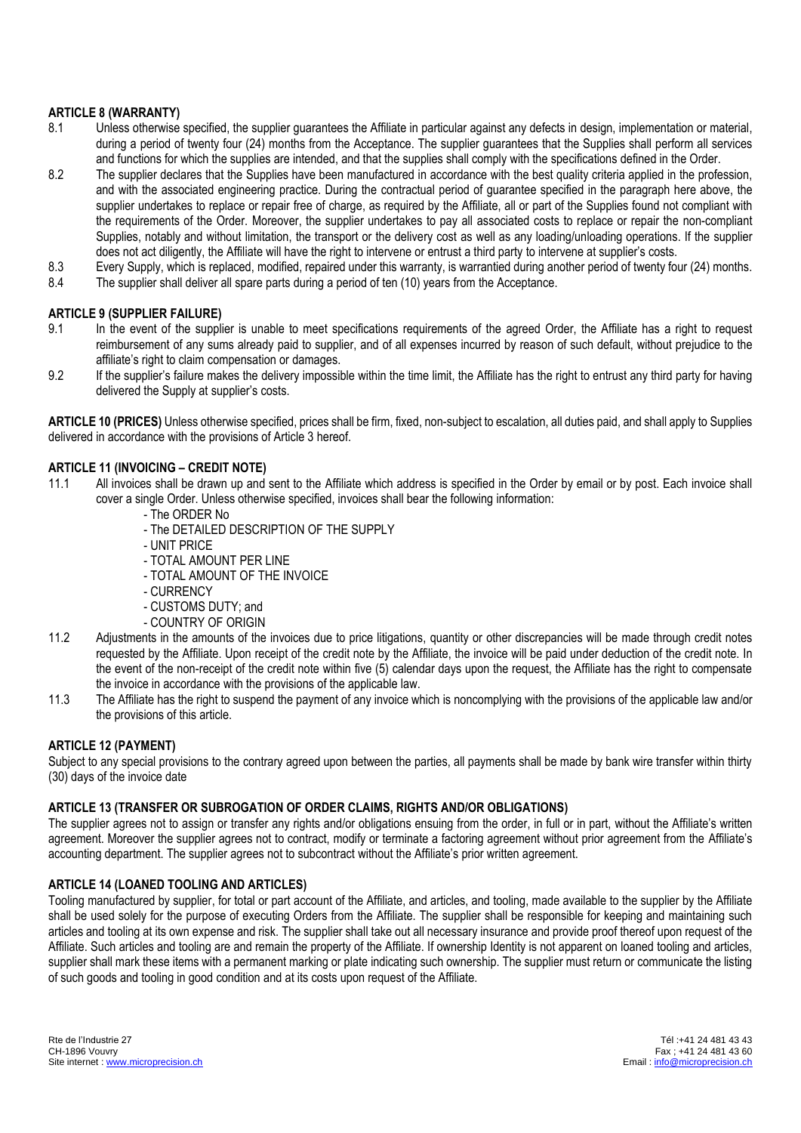## **ARTICLE 8 (WARRANTY)**

- 8.1 Unless otherwise specified, the supplier guarantees the Affiliate in particular against any defects in design, implementation or material, during a period of twenty four (24) months from the Acceptance. The supplier guarantees that the Supplies shall perform all services and functions for which the supplies are intended, and that the supplies shall comply with the specifications defined in the Order.
- 8.2 The supplier declares that the Supplies have been manufactured in accordance with the best quality criteria applied in the profession, and with the associated engineering practice. During the contractual period of guarantee specified in the paragraph here above, the supplier undertakes to replace or repair free of charge, as required by the Affiliate, all or part of the Supplies found not compliant with the requirements of the Order. Moreover, the supplier undertakes to pay all associated costs to replace or repair the non-compliant Supplies, notably and without limitation, the transport or the delivery cost as well as any loading/unloading operations. If the supplier does not act diligently, the Affiliate will have the right to intervene or entrust a third party to intervene at supplier's costs.
- 8.3 Every Supply, which is replaced, modified, repaired under this warranty, is warrantied during another period of twenty four (24) months.
- 8.4 The supplier shall deliver all spare parts during a period of ten (10) years from the Acceptance.

### **ARTICLE 9 (SUPPLIER FAILURE)**

- 9.1 In the event of the supplier is unable to meet specifications requirements of the agreed Order, the Affiliate has a right to request reimbursement of any sums already paid to supplier, and of all expenses incurred by reason of such default, without prejudice to the affiliate's right to claim compensation or damages.
- 9.2 If the supplier's failure makes the delivery impossible within the time limit, the Affiliate has the right to entrust any third party for having delivered the Supply at supplier's costs.

**ARTICLE 10 (PRICES)** Unless otherwise specified, prices shall be firm, fixed, non-subject to escalation, all duties paid, and shall apply to Supplies delivered in accordance with the provisions of Article 3 hereof.

### **ARTICLE 11 (INVOICING – CREDIT NOTE)**

- 11.1 All invoices shall be drawn up and sent to the Affiliate which address is specified in the Order by email or by post. Each invoice shall cover a single Order. Unless otherwise specified, invoices shall bear the following information:
	- The ORDER No
	- The DETAILED DESCRIPTION OF THE SUPPLY
	- UNIT PRICE
	- TOTAL AMOUNT PER LINE
	- TOTAL AMOUNT OF THE INVOICE
	- CURRENCY
	- CUSTOMS DUTY; and
	- COUNTRY OF ORIGIN
- 11.2 Adjustments in the amounts of the invoices due to price litigations, quantity or other discrepancies will be made through credit notes requested by the Affiliate. Upon receipt of the credit note by the Affiliate, the invoice will be paid under deduction of the credit note. In the event of the non-receipt of the credit note within five (5) calendar days upon the request, the Affiliate has the right to compensate the invoice in accordance with the provisions of the applicable law.
- 11.3 The Affiliate has the right to suspend the payment of any invoice which is noncomplying with the provisions of the applicable law and/or the provisions of this article.

#### **ARTICLE 12 (PAYMENT)**

Subject to any special provisions to the contrary agreed upon between the parties, all payments shall be made by bank wire transfer within thirty (30) days of the invoice date

#### **ARTICLE 13 (TRANSFER OR SUBROGATION OF ORDER CLAIMS, RIGHTS AND/OR OBLIGATIONS)**

The supplier agrees not to assign or transfer any rights and/or obligations ensuing from the order, in full or in part, without the Affiliate's written agreement. Moreover the supplier agrees not to contract, modify or terminate a factoring agreement without prior agreement from the Affiliate's accounting department. The supplier agrees not to subcontract without the Affiliate's prior written agreement.

#### **ARTICLE 14 (LOANED TOOLING AND ARTICLES)**

Tooling manufactured by supplier, for total or part account of the Affiliate, and articles, and tooling, made available to the supplier by the Affiliate shall be used solely for the purpose of executing Orders from the Affiliate. The supplier shall be responsible for keeping and maintaining such articles and tooling at its own expense and risk. The supplier shall take out all necessary insurance and provide proof thereof upon request of the Affiliate. Such articles and tooling are and remain the property of the Affiliate. If ownership Identity is not apparent on loaned tooling and articles, supplier shall mark these items with a permanent marking or plate indicating such ownership. The supplier must return or communicate the listing of such goods and tooling in good condition and at its costs upon request of the Affiliate.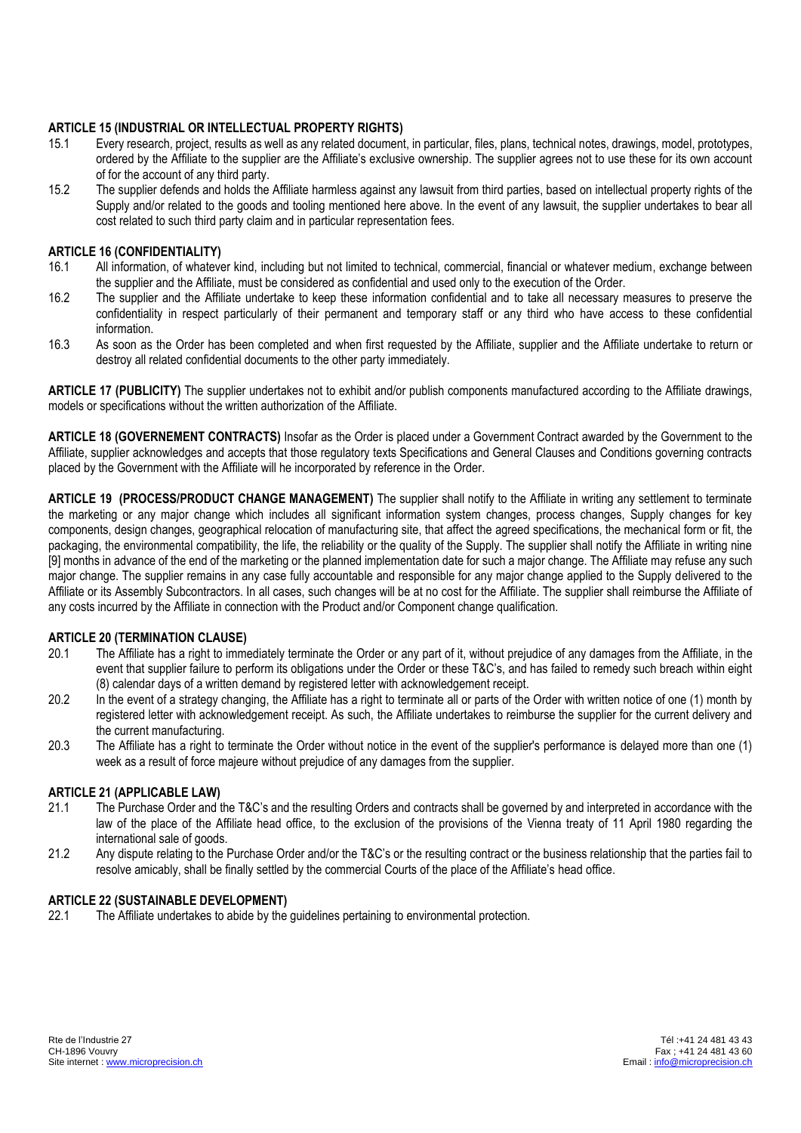# **ARTICLE 15 (INDUSTRIAL OR INTELLECTUAL PROPERTY RIGHTS)**

- 15.1 Every research, project, results as well as any related document, in particular, files, plans, technical notes, drawings, model, prototypes, ordered by the Affiliate to the supplier are the Affiliate's exclusive ownership. The supplier agrees not to use these for its own account of for the account of any third party.
- 15.2 The supplier defends and holds the Affiliate harmless against any lawsuit from third parties, based on intellectual property rights of the Supply and/or related to the goods and tooling mentioned here above. In the event of any lawsuit, the supplier undertakes to bear all cost related to such third party claim and in particular representation fees.

# **ARTICLE 16 (CONFIDENTIALITY)**

- 16.1 All information, of whatever kind, including but not limited to technical, commercial, financial or whatever medium, exchange between the supplier and the Affiliate, must be considered as confidential and used only to the execution of the Order.
- 16.2 The supplier and the Affiliate undertake to keep these information confidential and to take all necessary measures to preserve the confidentiality in respect particularly of their permanent and temporary staff or any third who have access to these confidential information.
- 16.3 As soon as the Order has been completed and when first requested by the Affiliate, supplier and the Affiliate undertake to return or destroy all related confidential documents to the other party immediately.

**ARTICLE 17 (PUBLICITY)** The supplier undertakes not to exhibit and/or publish components manufactured according to the Affiliate drawings, models or specifications without the written authorization of the Affiliate.

**ARTICLE 18 (GOVERNEMENT CONTRACTS)** Insofar as the Order is placed under a Government Contract awarded by the Government to the Affiliate, supplier acknowledges and accepts that those regulatory texts Specifications and General Clauses and Conditions governing contracts placed by the Government with the Affiliate will he incorporated by reference in the Order.

**ARTICLE 19 (PROCESS/PRODUCT CHANGE MANAGEMENT)** The supplier shall notify to the Affiliate in writing any settlement to terminate the marketing or any major change which includes all significant information system changes, process changes, Supply changes for key components, design changes, geographical relocation of manufacturing site, that affect the agreed specifications, the mechanical form or fit, the packaging, the environmental compatibility, the life, the reliability or the quality of the Supply. The supplier shall notify the Affiliate in writing nine [9] months in advance of the end of the marketing or the planned implementation date for such a major change. The Affiliate may refuse any such major change. The supplier remains in any case fully accountable and responsible for any major change applied to the Supply delivered to the Affiliate or its Assembly Subcontractors. In all cases, such changes will be at no cost for the Affiliate. The supplier shall reimburse the Affiliate of any costs incurred by the Affiliate in connection with the Product and/or Component change qualification.

## **ARTICLE 20 (TERMINATION CLAUSE)**

- 20.1 The Affiliate has a right to immediately terminate the Order or any part of it, without prejudice of any damages from the Affiliate, in the event that supplier failure to perform its obligations under the Order or these T&C's, and has failed to remedy such breach within eight (8) calendar days of a written demand by registered letter with acknowledgement receipt.
- 20.2 In the event of a strategy changing, the Affiliate has a right to terminate all or parts of the Order with written notice of one (1) month by registered letter with acknowledgement receipt. As such, the Affiliate undertakes to reimburse the supplier for the current delivery and the current manufacturing.
- 20.3 The Affiliate has a right to terminate the Order without notice in the event of the supplier's performance is delayed more than one (1) week as a result of force majeure without prejudice of any damages from the supplier.

## **ARTICLE 21 (APPLICABLE LAW)**

- 21.1 The Purchase Order and the T&C's and the resulting Orders and contracts shall be governed by and interpreted in accordance with the law of the place of the Affiliate head office, to the exclusion of the provisions of the Vienna treaty of 11 April 1980 regarding the international sale of goods.
- 21.2 Any dispute relating to the Purchase Order and/or the T&C's or the resulting contract or the business relationship that the parties fail to resolve amicably, shall be finally settled by the commercial Courts of the place of the Affiliate's head office.

## **ARTICLE 22 (SUSTAINABLE DEVELOPMENT)**

22.1 The Affiliate undertakes to abide by the guidelines pertaining to environmental protection.